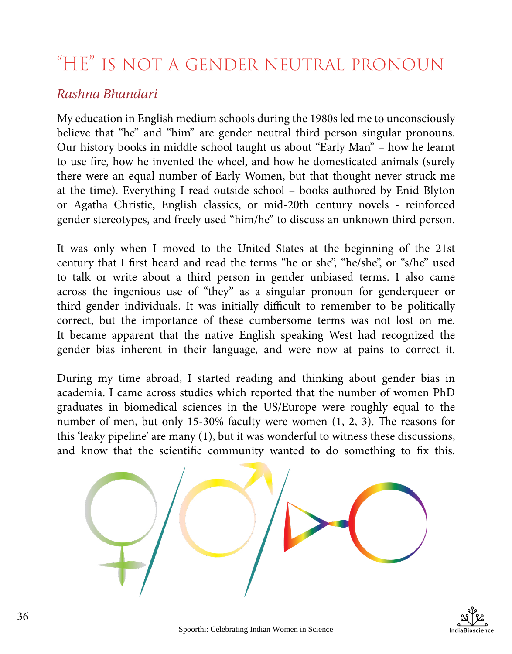## "HE" is not a gender neutral pronoun

## *Rashna Bhandari*

My education in English medium schools during the 1980s led me to unconsciously believe that "he" and "him" are gender neutral third person singular pronouns. Our history books in middle school taught us about "Early Man" – how he learnt to use fire, how he invented the wheel, and how he domesticated animals (surely there were an equal number of Early Women, but that thought never struck me at the time). Everything I read outside school – books authored by Enid Blyton or Agatha Christie, English classics, or mid-20th century novels - reinforced gender stereotypes, and freely used "him/he" to discuss an unknown third person.

It was only when I moved to the United States at the beginning of the 21st century that I first heard and read the terms "he or she", "he/she", or "s/he" used to talk or write about a third person in gender unbiased terms. I also came across the ingenious use of "they" as a singular pronoun for genderqueer or third gender individuals. It was initially difficult to remember to be politically correct, but the importance of these cumbersome terms was not lost on me. It became apparent that the native English speaking West had recognized the gender bias inherent in their language, and were now at pains to correct it.

During my time abroad, I started reading and thinking about gender bias in academia. I came across studies which reported that the number of women PhD graduates in biomedical sciences in the US/Europe were roughly equal to the number of men, but only 15-30% faculty were women (1, 2, 3). The reasons for this 'leaky pipeline' are many (1), but it was wonderful to witness these discussions, and know that the scientific community wanted to do something to fix this.

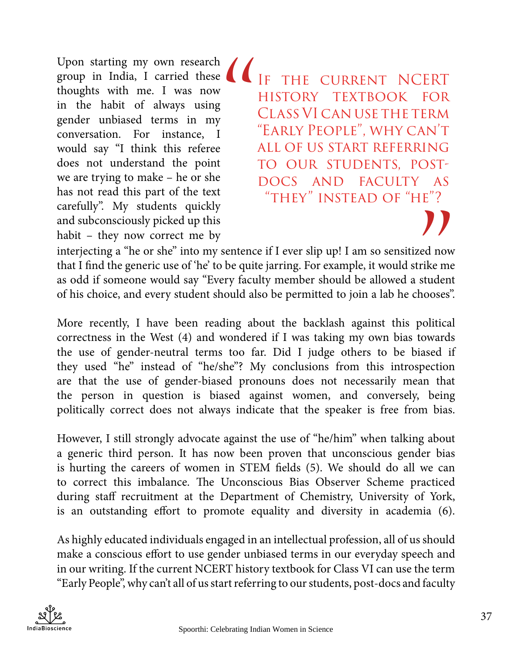Upon starting my own research group in India, I carried these thoughts with me. I was now in the habit of always using gender unbiased terms in my conversation. For instance, I would say "I think this referee does not understand the point we are trying to make – he or she has not read this part of the text carefully". My students quickly and subconsciously picked up this habit – they now correct me by

THE CURRENT NCERT history textbook for Class VI can use the term "Early People", why can't all of us start referring to our students, postdocs and faculty as "they" instead of "he"? "<br>"<br>"

red now<br>
rike me<br>
student<br>
hooses". interjecting a "he or she" into my sentence if I ever slip up! I am so sensitized now that I find the generic use of 'he' to be quite jarring. For example, it would strike me as odd if someone would say "Every faculty member should be allowed a student of his choice, and every student should also be permitted to join a lab he chooses".

More recently, I have been reading about the backlash against this political correctness in the West (4) and wondered if I was taking my own bias towards the use of gender-neutral terms too far. Did I judge others to be biased if they used "he" instead of "he/she"? My conclusions from this introspection are that the use of gender-biased pronouns does not necessarily mean that the person in question is biased against women, and conversely, being politically correct does not always indicate that the speaker is free from bias.

However, I still strongly advocate against the use of "he/him" when talking about a generic third person. It has now been proven that unconscious gender bias is hurting the careers of women in STEM fields (5). We should do all we can to correct this imbalance. The Unconscious Bias Observer Scheme practiced during staff recruitment at the Department of Chemistry, University of York, is an outstanding effort to promote equality and diversity in academia (6).

As highly educated individuals engaged in an intellectual profession, all of us should make a conscious effort to use gender unbiased terms in our everyday speech and in our writing. If the current NCERT history textbook for Class VI can use the term "Early People", why can't all of us start referring to our students, post-docs and faculty